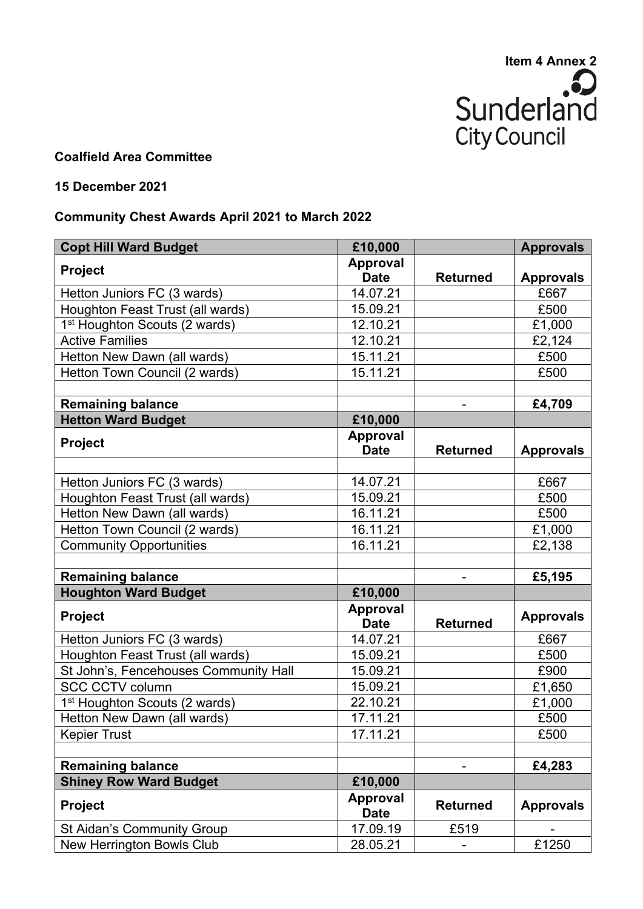

## **Coalfield Area Committee**

## **15 December 2021**

## **Community Chest Awards April 2021 to March 2022**

| <b>Copt Hill Ward Budget</b>              | £10,000                        |                 | <b>Approvals</b> |
|-------------------------------------------|--------------------------------|-----------------|------------------|
| <b>Project</b>                            | <b>Approval</b>                |                 |                  |
|                                           | <b>Date</b>                    | <b>Returned</b> | <b>Approvals</b> |
| Hetton Juniors FC (3 wards)               | 14.07.21                       |                 | £667             |
| Houghton Feast Trust (all wards)          | 15.09.21                       |                 | £500             |
| 1 <sup>st</sup> Houghton Scouts (2 wards) | 12.10.21                       |                 | £1,000           |
| <b>Active Families</b>                    | 12.10.21                       |                 | £2,124           |
| Hetton New Dawn (all wards)               | 15.11.21                       |                 | £500             |
| Hetton Town Council (2 wards)             | 15.11.21                       |                 | £500             |
|                                           |                                |                 |                  |
| <b>Remaining balance</b>                  |                                |                 | £4,709           |
| <b>Hetton Ward Budget</b>                 | £10,000                        |                 |                  |
| <b>Project</b>                            | Approval                       |                 |                  |
|                                           | <b>Date</b>                    | <b>Returned</b> | <b>Approvals</b> |
|                                           |                                |                 |                  |
| Hetton Juniors FC (3 wards)               | 14.07.21                       |                 | £667             |
| Houghton Feast Trust (all wards)          | 15.09.21                       |                 | £500             |
| Hetton New Dawn (all wards)               | 16.11.21                       |                 | £500             |
| Hetton Town Council (2 wards)             | 16.11.21                       |                 | £1,000           |
| <b>Community Opportunities</b>            | 16.11.21                       |                 | £2,138           |
|                                           |                                |                 |                  |
| <b>Remaining balance</b>                  |                                | -               | £5,195           |
| <b>Houghton Ward Budget</b>               | £10,000                        |                 |                  |
| Project                                   | <b>Approval</b>                | <b>Returned</b> | <b>Approvals</b> |
|                                           | <b>Date</b>                    |                 |                  |
| Hetton Juniors FC (3 wards)               | 14.07.21                       |                 | £667             |
| Houghton Feast Trust (all wards)          | 15.09.21                       |                 | £500             |
| St John's, Fencehouses Community Hall     | 15.09.21                       |                 | £900             |
| <b>SCC CCTV column</b>                    | 15.09.21                       |                 | £1,650           |
| 1 <sup>st</sup> Houghton Scouts (2 wards) | 22.10.21                       |                 | £1,000           |
| Hetton New Dawn (all wards)               | 17.11.21                       |                 | £500             |
| <b>Kepier Trust</b>                       | 17.11.21                       |                 | £500             |
|                                           |                                |                 |                  |
| <b>Remaining balance</b>                  |                                |                 | £4,283           |
| <b>Shiney Row Ward Budget</b>             | £10,000                        |                 |                  |
| <b>Project</b>                            | <b>Approval</b><br><b>Date</b> | <b>Returned</b> | <b>Approvals</b> |
| <b>St Aidan's Community Group</b>         | 17.09.19                       | £519            |                  |
| New Herrington Bowls Club                 | 28.05.21                       |                 | £1250            |